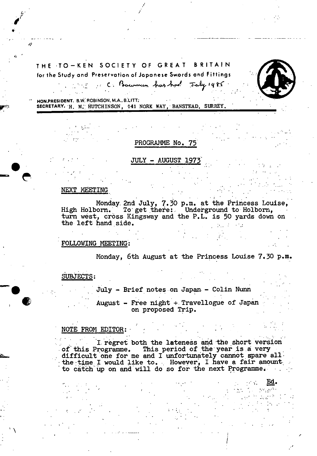# THE TO—KEN SOCIETY OF GREAT BRITAIN for the Study and Preservation of Japanese Swords and Fittings

Fig. C; Bowman has had July 1985



**HON.PRESIDENT. B.W. ROBINSON, M.A., B.LITT.** SECRETARY. H. M. HUTCHINSON, 141 NORK WAY, BANSTEAD, SURREY.

PROGRAMME No. 75

## JULY - AUGUST 1973

#### NEXT MEETING

 $\boldsymbol{d}^{\mu}$ 

*'1* 

Monday. 2nd July, 7.30 p.m. at the Princess Louise, High Holborn. To get there: Underground to Holborn, turn west, cross Kingsway and the P.L. is 50 yards down on the left hand side.

## FOLLOWING MEETING:

Monday, 6th August at the Princess Louise 7.30 p.m.

..

## SUBJECTS:

 $July - Brief notes on Japan - Colin Num$ 

August - Free night + Travellogue of Japan on proposed Trip.

## • NOTE FROM EDITOR:

I regret both the lateness and the short version of this Programme. This period of the year is a very difficult one for me and I unfortunately cannot spare all •  $\frac{1}{2}$  the time I would like to. However, I have a fair amount.  $-$  to catch up on and will do so for the next Programme.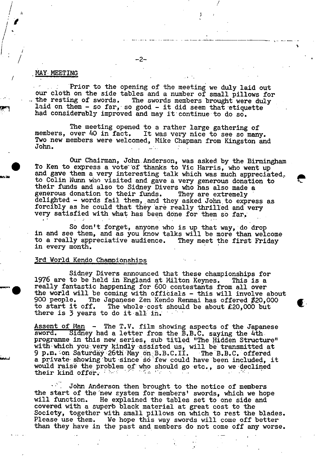#### MAY MEETING

 $\int\limits_1^1\frac{1}{\sqrt{2}}$ 

/

Prior to the opening of the meeting we duly laid out our cloth on the side tables and a number of small pillows for<br>the resting of swords. The swords members brought were duly The swords members brought were duly laid on them  $-$  so far, so good  $-$  it did seem that etiquette had considerably improved and may it continue to do so.

-2-

H <sup>H</sup>

The meeting opened to a rather large gathering of<br>members, over 40 in fact. It was very nice to see so man It was very nice to see so many. Two new members were welcomed, Mike Chapman from Kingston and John.

Our Chairman, John Anderson, was asked by the Birmingham To Ken to express a vote of thanks to Vic Harris, who went  $\mathrm{up}^$ and gave them a very interesting talk which was much appreciated to Colin Nunn who visited and gave a very generous donation to their funds and also to Sidney Divers who has also made a generous donation to their funds. They are extremely delighted - words fail them, and they asked John to express as forcibly as he could that they are really thrilled and very very satisfied with what has been done for them so far.

e

• So don't forget, anyone who is up that way, do drop in and see them, and as you know talks will be more than welcome to a really appreciative audience. They meet the first Friday in every month.

#### 3rd World Kendo Championships

Sidney Divers announced that these championships for 1976 are to be held in England at Milton Keynes. This is a really fantastic happening for 600 contestants from all over the world will be coming with officials - this will involve about 900 people. The Japanese Zen Kendo Renmai has offered \$20,000 900 people. The Japanese Zen Kendo Renmai has offered \$20,000 The whole-cost should be about  $£20,000$  but there is  $\overline{z}$  years to do it all in.

Assent of Man - The T.V. film showing aspects of the Japanese sword. Sidney had a letter from the B.B.C. saying the 4thprogramme in this new series, sub titled "The Hidden Structure" with which you very kindly assisted us, will be transmitted at 9 p.m. on Saturdáy 26th May on B.B.C.II. - The B.B.C. offered a private showing but since so few could have been included, it would raise the problem of who should go etc., so we declined<br>their kind offer. their kind offer. ...

John Anderson then brought to the notice of members the start of the new system for members' swords, which we hope will function. He explained the tables set to one side and He explained the tables set to one side and covered with a superb black material at great cost to the Society, together with small pillows on which, to rest the blades. Please use them. We hope this way swords will come off better than they have in the past and members do not come off any worse.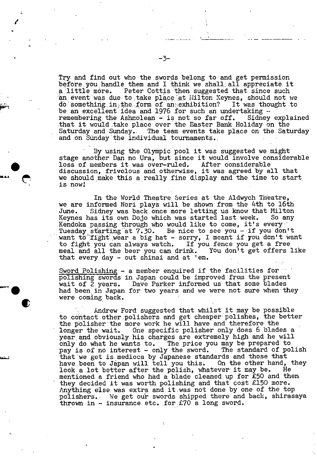Try. and find out who the swords belong to and get permission before.you.handle them and I think we shall: all appreciate it a little more. Peter Cottis then suggested that since such an event was due to take place at Milton Keynes, should not we do something in the form of an exhibition? It was thought to be an excellent idea and 1976 for such an undertaking  $\sim$ remembering the Ashmolean - is not so far off. Sidney explained that it would take place over the Easter Bank Holiday on the Saturday and Sunday.. The team events take place on the Saturday and on Sunday the individual tournaments.

By using the Olympic pool it was suggested we might stage another Dan no Ura, but since it would involve considerable loss of members it was over-ruled. After considerable discussion, frivolous and otherwise, it was agreed by all that we should make this a really fine display and the time to start. is now!

In the World Theatre Series at the Aldwych Theatre, we are informed Nori plays will be shown from the 4th to 16th June. Sidney was back once more letting us know that Milton Keynes has its own Dojo which was started last week. So any Kendoka passing through who would like to come, it's every Tuesday starting at 7.30. Be nice to see you - if you don't want to fight wear a big hat - sorry, I meant if you don't want to fight you can always watch. If you fence you get a free meal and all the beer you can drink. that every day - out shinai and at 'em.

Sword Polishing - a member enquired if the facilities for polishing swords in Japan could be improved from the present wait of 2.years. Dave Parker informed us that some blades had been in Japan for two years and we were not sure when they were coming back.

Andrew Ford suggested that whilst it may be possible to contact other polishers and get cheaper polishes, the better the polisher the more work he will have and therefore the longer the wait. One specific polisher only does 6 blades a year and obviously his charges are extremely high and he will<br>only do what he wants to. The price you may be prepared to The price you may be prepared to. pay is of no interest - only the sword. The standard of polish that we get is medioca by Japanese standards and those that<br>have been to Japan will tell you this. On the other hand, they have been to Japan will tell you this. On the other hand,<br>look a lot better after the polish, whatever it may be. He look a lot better after the polish, whatever it may be. mentioned a friend who had a blade cleaned up for £50 and then they decided it was worth polishing and that cost £150 more. Anything else was extra and it was not done by one of the top polishers.. We get our swords shipped there and back, shirasaya thrown in  $-$  insurance etc. for £70 a long sword.

/

 $\bullet$ 

1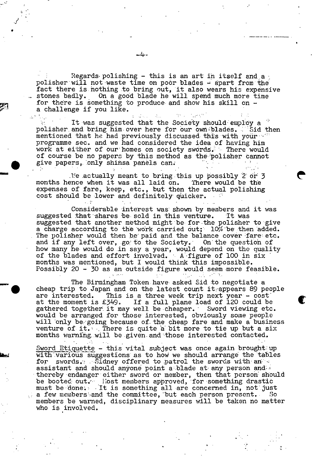Regards polishing - this is an art in itself and a polisher will not waste time on poor blades - apart from the fact there is nothing to bring out, it also wears his expensive stones badly. On a good blade he will spend much more time On a good blade he will spend much more time for there is something to produce and show his skill on a challenge if you like.

 $\sim 100$ 

It was suggested that the Society should employ a polisher and bring him over here for our own blades. .Asid then mentioned that he had previously discussed this with your: programme sec. and we had considered the idea of having him work at either of our homes on society swords. There would of course be no papers by this method as the'polisher cannot give papers, only shinsa panels can.

 $\mathbb N$ e actually meant to bring this up possibly 2 or 3 months hence when it was all laid on. There would be the expenses of fare, keep, etc., but then the actual polishing cost should be lower and definitely quicker.

Considerable interest was shown by members and it was suggested that shares be sold in this venture. It was suggested that another method might be for the polisher to give a charge according to the work carried out;  $10\%$  be then added. The polisher would then be paid and the balance cover fare etc. and if any left over, go to the Society. On the question of how many he would do .in say a year, would depend on the quality of the blades and effort involved. A figure of 100 in six months was mentioned, but I would think this impossible. Possibly 20 - 30 as an outside figure would seem more feasible.

The Birmingham Token have asked Sid to negotiate a cheap trip to Japan and on the latest count it: appears 89 people<br>are interested. This is a three week trip next year - cost are interested. This is a three week trip next year - cost at the moment is £349. If a full plane load of 120 could be gathered together it may well be cheaper. Sword viewing etc. would be arranged for those interested, obviously some people will only be going because of the cheap fare and make a business  $\,$ venture of it.' There is: quite a bit more to tie up but a six months warning will be given and those interested contacted.

Sword Etiquette - this vital subject was once again brought: up with various suggestions as to how we should arrange the tables for swords. Sidney offered to patrol the swords with an  $\leq$ assistant and should anyone point a blade at any person and. thereby endanger either sword or member, then that person: should be booted out. Ilost members approved, for something drastic must be done;  $\blacksquare$  It is something all are concerned in, not just a few members and the committee, but each person present. So members be warned, disciplinary measures will be taken no matter who is involved.

 $\checkmark$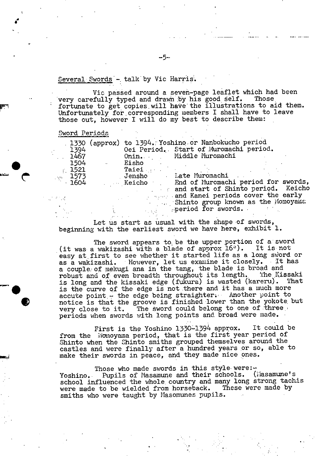## Several Swords - talk by Vic Harris.

Vic passed around a seven-page leaflet which had been<br>cfully typed and drawn by his good self. Those very carefully typed and drawn by his good self. fortunate to get copies will have the illustrations to aid them. Unfortunately for.corresponding members I shall have to leave those out, however I will do my best to describe them:

#### Sword Periods

a

.

|                                                                                       |                  | 1330 (approx) to 1394. Yoshino or Nanbokucho period |                                            |  |
|---------------------------------------------------------------------------------------|------------------|-----------------------------------------------------|--------------------------------------------|--|
| 1394                                                                                  |                  | Oei Period. Start of Muromachi period.              |                                            |  |
| 1467                                                                                  |                  |                                                     | Onin. Middle Muromachi                     |  |
| 1504                                                                                  | $\sim 100$ $\mu$ | Eisho                                               |                                            |  |
| 1521                                                                                  |                  | <b>Taiei</b>                                        |                                            |  |
| $\sim$ 1573                                                                           |                  |                                                     | Jensho Late Muromachi                      |  |
| $\cdot$ 1604                                                                          |                  |                                                     | Keicho End of Muromachi period for swords, |  |
|                                                                                       |                  |                                                     | and start of Shinto period. Keicho         |  |
| $\mathcal{F}^{\mathcal{A}}_{\mathcal{A}}$ , $\mathcal{F}^{\mathcal{A}}_{\mathcal{A}}$ |                  |                                                     | and Kanei periods cover the early          |  |
|                                                                                       |                  |                                                     | Shinto group known as the Momoyama         |  |
|                                                                                       |                  |                                                     | period for swords.                         |  |

Let us start as usual with the shape of swords, beginning with the earliest sword we have here, exhibit 1.

The sword appears to be the upper portion of a sword (it was a wakizashi with a blade of approx  $16$ <sup>0</sup>). It is not easy at first to see whether it started life as a long sviord or as a wakizashi. However, let us examine it closely. It has a couple of mekugi ana in the tang, the blade is broad and<br>robust and of even breadth throughout its length. The Kissaki robust and of even breadth throughout its length. The Kissaki<br>is long and the kissaki edge (fukura) is wasted (kareru). That is long and the kissaki edge (fukura) is wasted (kareru). is the curve of the edge is not there and it has a much more accute point.- the edge being straighter. Another point to notice is that the groove is finished lower than the yokote but very close to it. The sword could belong to one of three. very close to it. The sword could belong to one of three . periods when swords with long points and broad were made.

> First is the Yoshino 1330-1394 approx. It could be from the Momoyama period, that is the first year period of Shinto when the Shinto smiths grouped themselves around the castles and were finally after a hundred years or so, able to make their swords in peace, and they made nice ones.

Those who made swords in this style were: $\sim$ Yoshino. Pupils of Masamune and their schools. (Masamune's school influenced the whole country and many long strong tachis were made to be wielded from horseback. These were made by smiths who were taught by Masomunes pupils.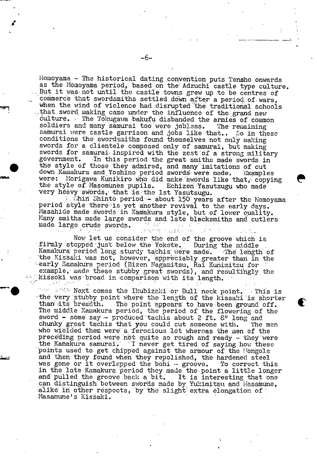Momoya.ma - The historical dating ;conyention puts Tensho *onwards*  as the Momoyama period, based on the Adzuchi castle type culture. But it was not until the castle towns grew up to be centres of commerce that swordsmiths settled down after a period of wars, when the wind of violence had disrupted the traditional schools that *sword* making came under the influence of the grand new culture. The Tokugawa bakufu disbanded the armies of common soldiers and many samural too were jobless. The remaining soldiers and many samurai too were jobless. samurai were castle garrison and jobs like that.. So in these conditions the swordsmiths found themselves not only making swords for a clientele composed only of samurai, but making swords for samurai inspired with the zest of a strong military government. In this period the great smiths made swords in In this period the great smiths made swords in Samural were castle garrison and joos like that.. So in thes<br>conditions the swordsmiths found themselves not only making<br>swords for a clientele composed only of samurai, but making<br>swords for samurai inspired with the zest were: Morigawa Kunikiro who did make swörds like that, copying the style of Masomunes pupils. Echizen Yasutsugu who made very hëàvy'svibrds, that 'is the 1st Yasutsugu.

 $i$  Shin Shinto period - about 150 years after the Momoyama period style there is yet another revival to the early days. Masahide made swords in Kamakura style, but of lower quality. Many smiths made large swords and late blacksmiths and cutlers<br>made large crude swords made large crude swords. Union the Church Control

Now let us consider the end of the groove which is firmly stopped just below the Yokote. During the middle Kamakura period long sturdy tachis were made. The length of the Kissaki was not, however, appreciably greater than in the early Kamakura period (Bizen Nagamitsu, Rai Kuñimitsu' for example, made these stubby great swords), and resultingly the kissoki was broad in comparison with its length. rearly Neumakura period (Bizen Nagamitsu, Rai Kunimitsu ror<br>example, made these stubby great swords), and resultingly the<br>kissoki was broad in comparison with its length.<br>Wext comes the Ikubizaki or Bull neck point. This i

the very stubby point where the length of the kissaki is shorter<br>the very stubby point where the length of the kissaki is shorter<br>than its breadth. The point appears to have been ground off. The point appears to have been ground off. The middle Kamakura period, the period of the flowering of the sword - some say - produced tachis about 2 ft.  $8$ " long and chunky great tachis that you could cut someone with. The men chunky great tachis that you could cut someone with. who wielded them were a ferocious lot whereas the men of the preceding period were not quite so rough and ready - they were the Kamakura samurai. I never get tired of saying how these points used to get chipped against the armour of the longols and then they found when they repolished, the hardened steel was gone or it overlapped the bohi  $\cdot$  groove. To correct this in the late 'Kamakura period they made the point a little longer and pulled the groove back a bit. It is interesting that one can distinguish between swords made by Yukimitsu and Masamune, alike in other respects, by the slight extra elongation of  $\tilde{\ }$ Masamune's Kissaki.

**S**  'S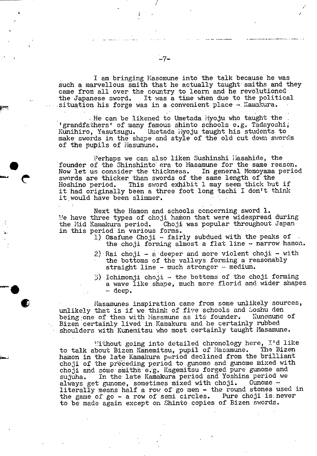I am bringing Masomune into the talk because he was such a marvellous smith that he actually taught smiths and they came from all over the country to learn and he revolutioned<br>the Japanese sword. It was a time when due to the politica It was a time when due to the political situation his forge was in a convenient place - Kamakura.

He can be likened to Umetada Myoju who taught the 'grandfathers' of many famous shinto schools e.g. Tadayoshi, Kunihiro, Yasutsugu. Umetada ijyoju taught his students to make swords in the shape and style of the old cut down swords of the pupils of Masumune.

Perhaps we can also liken Sushinshi liasahide, the founder of the Shinshinto era to Masamune for the same reason.<br>Now let us consider the thickness. In general Momoyama period Now let us consider the thickness. swords are thicker than swords of the same length of the Hoshino period. This sword exhibit 1 may seem thick but This sword exhibit 1 may seem thick but if it had originally been a three foot long tachi I don't think it would have been slimmer.

Next the Hamon and schools concerning sword 1. We have three types of choji hamon that were widespread during<br>the Mid Kamakura period. Choji was popular throughout Japan Choji was popular throughout Japan in this period in various forms.

- 1) Osafune Choji fairly subdued with the peaks of the choji forming almost a flat line  $-$  narrow hamon.
- 2) Rai choji  $-$  a deeper and more violent choji  $-$  with the bottoms of the valleys forming a reasonably straight line  $-$  much stronger  $-$  medium.
- 3) Ichimonji choji the bottoms of the choji forming a wave like shape, much more florid and wider shapes - deep.

Masamunes inspiration came from some unlikely sources, unlikely that is if we think of five schools and Soshu den<br>being one of them with Masamune as its founder. Kunemune of being one of them with Masamune as its founder. Bizen certainly lived in Kamakura and he certainly rubbed shoulders with Kunemitsu who most certainly taught Masamune.

Mithout going into detailed chronology here, I'd like<br>bout Bizen Kanemitsu, pupil of Masamune. The Bizen to talk about Bizen Kanemitsu, pupil of Masamune. hainon in the late Kamakura period declined from the brilliant choji of the precedipg period to gunome and gunome mixed with choji and some smiths e.g. Kagemitsu forged pure gunome and sujuha. In the late Kamakura period and Yoshina period we<br>always get gunome, sometimes mixed with choji. Gunome always get gunome, sometimes mixed with choji. literally means half a row of go men - the round stones used in the game of go - a row of semi circles. Pure choji is never the game of go  $-$  a row of semi circles. to be made again except on Shinto copies of Bizen swords.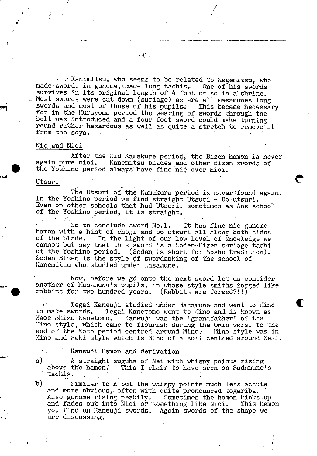I am Kanemitsu, who seems to be related to Kagemitsu, who made swords in gunome, made long tachis. One of his swords survives in its original length of 4 foot or so in a shrine. Most swords were cut down (suriage) as are all Masamunes long swords and most of those of his pupils. This became necessary for in the Murayoma period the wearing of swords through the belt was introduced and a four foot sword could make turning round rather hazardous as well as quite a stretch to remove it from the soya.  $\mathcal{L}_\text{c} = \mathcal{L}_\text{c} = \mathcal{L}_\text{c} = \mathcal{L}_\text{c} = \mathcal{L}_\text{c} = \mathcal{L}_\text{c} = \mathcal{L}_\text{c} = \mathcal{L}_\text{c} = \mathcal{L}_\text{c} = \mathcal{L}_\text{c} = \mathcal{L}_\text{c} = \mathcal{L}_\text{c} = \mathcal{L}_\text{c} = \mathcal{L}_\text{c} = \mathcal{L}_\text{c} = \mathcal{L}_\text{c} = \mathcal{L}_\text{c} = \mathcal{L}_\text{c} = \mathcal{$ 

## Nie and Nioi

After the Mid Kamakure period, the Bizen hamon is never Alter the Mid Kamakure period, the Bizen hamon is ne<br>again pure nioi. - Kanemitsu blades and other Bizen swords of<br>the Yoshino period always have fine nie over nioi.

#### Utsuri

a a

> The Utsuri of the Kamakura period is never found again. In the Yoshino period we find straight Utsuri - Do -utsuri. Even on other schools that had Utsuri, sometimes as Aoe school of the Yoshino period, it is straight.

So to conclude sword No.1. It has fine nie gunome hamon with a hint of choji and bo utsuri all along both sides of the blade. In the light of our low level of knowledge we In the light of our low level of knowledge we cannot but say that this sword is a Soden-Bizen suriage tachi of the Yoshino period. (Soden is short for Soshu tradition). Soden Bizen is the style of swordmaking of the school of Kanemitsu who studied under ñasamune.

Now, before we go onto the next sword let us consider A another of Masamune's pupils, in whose style smiths forged like rabbits for two hundred years. (Rabbits are forged?!!)

 $\blacksquare$  . Tegai Kaneuji studied under Masamune and went to Hino to make swords. Tegai Kanetomo went to fino and is known as Naoe Shizu Kanetomo. Kaneuji was the 'grandfather' of the Kaneuji was the 'grandfather' of the Mino style, which came to flourish during the Onin wars, to the end of the Koto period centred around Mino. Mino style was in Mino and Seki style which is Mino of a sort centred around Seki.

- Kaneuji Hamon and derivation
- a) A straight suguha of Nei with whispy points rising above the hamon. This I claim to have seen on Sadamune's - tachis.

b) similar to A but the whispy points much less accute and more obvious, often with quite pronounced togariba. Also gunome rising peakily. Sometimes the hamon kinks up and fades out into Nioi or something like Nioi. This hamon you find on Kaneuji swords. Again swords of the shape we are discussing.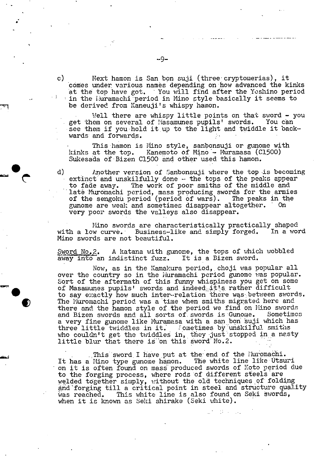c) Mext hamon is San bon suji (three cryptomerias), it comes under, various names depending on'how advanced the kinks at the top have got. You will find after the Yoshino period in the Iluramachi period in Mino style basically it seems to be derived from Kaneuji's whispy hamon.

Well there are whispy little points on that sword  $-$  you get them on several of Masamunes pupils' swords. You can • see them if you hold it.up to the light and twiddle it backwards and forwards.

Inis hamon is Mino style, sanbonsuji or gunome with kinks at the top. Kanemoto of Mino - Muramasa (C1500) kinks at the top. Kanemoto of Mino - Muramasa (C<br>Sukesada of Bizen C1500 and other used this hamon.

d) Another version of Sanbonsuji where the top -is becoming extinct and unskilfully done - the tops of the peaks appear to fade *away.* The work of poor smiths of the middle and late Muromachi period, mass producing swords for the armies of the sengoku period (period of wars). The peaks in the gunome are weak and sometimes disappear altogether. very poor swords the valleys also disappear.

Mino swords are characteristically practically shaped<br>In curve. Business-like and simply forged. In a word with a low curve. Business-like and simply forged. Mino swords are not beautiful.

Sword No.2. A katana with gunome, the tops of which wobbled away into an indistinct fuzz. It is a Bizen sword.

Now, as in the Kamakura period,, choji was popular all over the country so in the iduramachi period gunome was popular. Sort of the aftermath of this funny whispiness you get on some of Masamunes pupils' swords and indeed it's rather difficult to say exactly how much inter-relation there was between swords. The Muromachi period was a time when smiths migrated here and there and the hamon style of the period we find on Mino swords<br>and Bizen swords and all sorts of swords is Gunome. Sometimes and Bizen swords and all sorts of swords is Gunome. a very fine gunome like Muramasa with a sanbon äuji which has a very line gunome like muramasa with a san bon suji which had three little twiddles in it. Fometimes by unskilful smiths who couldn't get the twiddles in, they just stopped in a nasty little blur that there is on this sword No.2.

This sword I have put at the end of the lIuromachi.<br>Mino type gunome hamon. The white line like Utsuri It has a Mino type gunome hamon. on it is often found on mass produced swords of Koto period due to the forging process, where rods of different steels are welded together simply, without the old techniques of folding and'forging till a critical point in steel and structure quality<br>was reached. This white line is also found on Seki swords, This white line is also found on Seki swords, when it is known as Seki shirake (Seki white).

 $\mathbb{R}^n \times \mathbb{R}^n \times \mathbb{R}^n$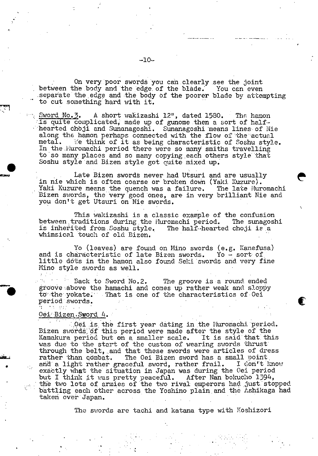On very poor swords you can clearly see the joint between the body and the edge of the blade. You can even .separate the,edge and the body of the poorer blade by attempting to cut something hard with it.

Sword No.3. A short wakizashi 12", dated 1580. The hamon is quite complicated, made up of gunome then a sort of halfhearted choji and Sunanagoshi. Sunanagoshi means lines of Nie along the hamon perhaps connected with the flow of the actual metal. We think of it as being characteristic of Soshu styl We think of it as being characteristic of Soshu style. In the Huromachi period there were so many smiths travelling to so many places and so many copying each others style that Soshu style and Bizen style got quite mixed up.

Late Bizen swords never had Utsuri and are usually in nie which is often coarse or broken down (Yaki Kuzure). Yaki Kuzure means the quench was a failure. The late Huromachi Bizen swords, the very good ones, are in very brilliant Nie and you don't get Utsuri on Nie swords.

This wakizashi is a classic example of the confusion between traditions during the Muromachi period. The sunagoshi is a inherited from Soshu style. The half-hearted choji is a is inherited from Soshu style. whimsical touch of old Bizen.

Yo (leaves) are found on Mino swords (e.g. Kanefusa) and is characteristic of late Bizen swords. Yo - sort of little dots in the hamon also found Seki swords and very fine Mino style swords as well.

Back to Sword No.2. The groove is a round ended giøove above the hamachi and comes up rather weak and sloppy to the yokate. That is one of the characteristics of Oei period swords.<br>3 10 22

## 0ei Bizen.Sword 4.

*<sup>r</sup>*QOi is. the first year dating in the J'iuromachi 'peri9d. Bizen swords of this period were made after the style of the Kamakura period but on a smaller scale. It is said'that. this was due to the start of the custom of wearing swords thrust through the belt, and that these swords were articles of dress rather than combat. The Oei Bizen sword has a small point and a light rather graceful sword, rather frail. I don't know exactly what the situation in Japan was during the Oei period but I think it was pretty peaceful. After Nan bokucho 1394, the two lots of armies of the two rival emperors had just stopped battling each other across the Yoshino plain and the Ashikaga had taken over Japan.

The swords are tachi and katana type with Koshizori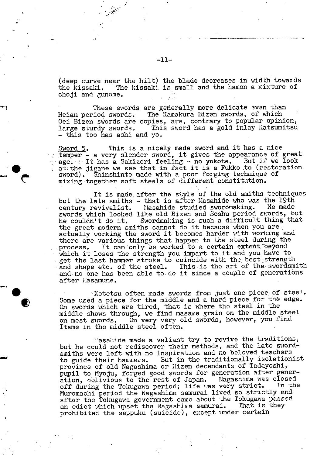(deep curve near the hilt) the blade decreases in width towards<br>the kissaki. The kissaki is small and the hamon a mixture of The kissaki is small and the hamon a mixture of choji and gunome.

These swords are generally more delicate even than<br>Heian period swords. The Kamakura Bizen swords, of which The Kamakura Bizen swords, of which Oei Bizen swords are copies, are, contrary to popular opinion, large sturdy swords. This sword has a gold inlay Katsumitsu - this too has ashi and yo.

Sword 5. This is a nicely made sword and it has a nice temper - a very slender sword, it gives the appearance of great age. It has a Sakizori feeling - no yokote. But if we look at; the jigane we see that in fact it is a Fukko to (restoration sword). Shinshinto made with a poor forging technique of mixing together soft steels of different constitution.

It is made, after the style of the old smiths techniques but the late smiths - that is after Masahide who was the 19th century revivalist. Masahide studied swordmaking. He made Masahide studied swordmaking. swords which looked like old Bizen and Soshu period swords, but<br>he couldn't do it. Swordmaking is such a difficult thing that Swordmaking is such a difficult thing that the great modern smiths cannot do it because when you are. actually working the sword it becomes harder with working and there are various things that happen to the steel during the process. It can only be worked to a certain extent beyond It can only be worked to a certain extent beyond which it loses the strength you impart to it and you have to get the last hammer stroke to coincide with the best strength and shape etc. of the steel. This is the art of the swordsmith and no one has been able to do it since a couple of generations after iiasamune.

'Kotetsu often made swords from just one piece, of. steel. Some used a piece for the middle and a hard piece for the edge. On swords which are tired, that is where tho steel in the middle shows through, we find masame grain on the middle steel on most swords. On very very old swords, however, you find Itame in the middle steel often.

Masahide made a valiant try to revive the traditions, but he could not rediscover their methods, and the late swordsmiths were left with no inspiration and no beloved teachers to guide their hammers. But in the traditionally isolationist province of old Nagashima or Hizen decendants of Tadayoshi, pupil to Myoju, forged good swords for generation after generpupil to hydju, forged good shorts for generation. The closed off during the Tokugawa period; life was very strict. In the Muromachi period the Nagashima samurai lived so strictly and after the Tokugawa government came about the Tokugawa passed<br>an edict which upset the Nagashima samurai. That is they an edict which upset the Nagashima samurai. prohibited the seppuku (suicide), except under certain

 $-11-$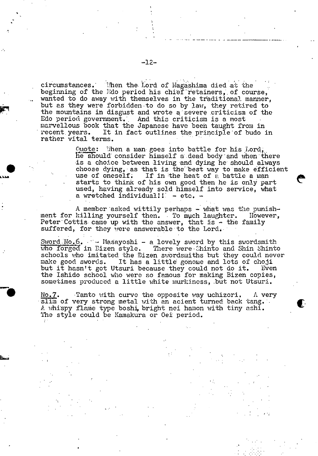circumstances. When the Lord of Nagashima died at the beginning of the Ddo period his chief retainers, of course, wanted to do away with themselves in the traditional manner, but as they were forbidden to do so by law, they retired to the mountains in disgust and wrote a severe criticism of the Edo period government. And this criticism is a most marvellous book that the Japanese have been taught from in recent years. It in fact outlines the principle of budo in rather vital terms.

> Quote: When a man goes into battle for his Lord, he should consider himself a dead body and when there is a choice between living and dying he should always choose dying, as that is the best way to make efficient use of oneself. If in the heat of a battle a man starts to think of his own good then he is only part used, having already sold himself into service, what a wretched  $individual!! - etc. -$

A member asked wittily perhaps  $-$  what was the punishment for killing yourself then. To much laughter. However, Peter Cottis came up with the answer, that **Is** - the family suffered, for they were answerable to the Lord.

Sword  $No. 6.$  -- Masayoshi - a lovely sword by this swordsmith who forged in Bizen style. There were Chinto and Shin Shinto schools who imitated the Bizen swordsmiths but they could never make good swords. It has a little gonome and lots of choji make good swords. It has a little gonome and lots of choji but it hasn't got Utsuri because they could not do it. Even the Ishido school who were so famous for making Bizen copies, sometimes produced a little white murkiness, but not Utsuri.

 $No.7$ . • Tanto with curve the opposite way uchizori. A very slim of very strong metal with an acient turned back tang. A whispy flame type boshi, bright nei hamon with tiny ashi. The style could be Kamakura or Oei period.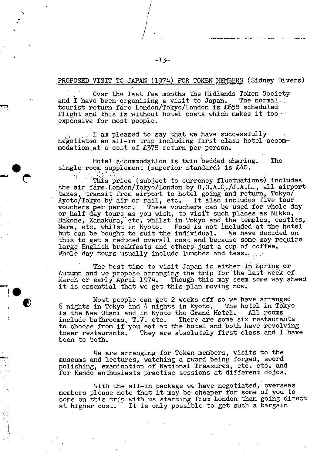### PROPOSED VISIT TO JAPAN (1974) FOR TOKEN NEMBERS (Sidney Divers)

- ----

Over the last few months the Midlands Token Society and I have been organising a visit to Japan. The normal tourist return fare London/Tokyo/London is £658 scheduled flight and this is without hotel costs which makes it too ... expensive for most people.

 $\Box$  I am pleased to say that we have successfully negotiated an all-in trip including first class hotel accommodation at a cost of £378 return per person.

Hotel accommodation is twin bedded sharing. The single room supplement (superior standard) is  $£40$ .

This price (subject to currency fluctuations) includes the air fare London/Tokyo/London by  $B.O.A.C./J.A.L.,$  all airport taxes, transit from airport to hotel, going and return, Tokyo/ Kyoto/Tokyo by air or rail, etc. It also includes five tour<br>vouchers per person. These vouchers can be used for whole de These vouchers can be used for whole day or half day tours as you wish, to visit such places as Nikko, Hakone, Kamakura, etc. whilst in Tokyo and the temples, castles, • Nara, etc. whilst in Kyoto. Food is not included at the hotel but can be bought to suit the individual. We have decided on this to get a reduced overall cost and because some may require large English breakfasts and others just a cup of coffee. Whole day tours usually include lunches and teas.

> The best time to visit Japan is either in Spring or Autumn and we propose arranging the trip for the last week of March or early April 1974. Though this may seem some way ahead it is essential that we get this plan moving now.

 $\overline{\phantom{a}}$   $\bullet$ 

1,

Most people can get 2 weeks off so we have arranged 6 nights in Tokyo and 4 nights in Kyoto. The hotel in Tokyo is the New Otani and in Kvoto the Grand Hotel. All rooms is the New Otani and in Kyoto the Grand Hotel. include bathrooms, T.V. etc. There are some six restaurants to choose from if you eat at the hotel and both have revolving tower restaurants. They are absolutely first class and I have been to both.

We are arranging for Token members, visits to the museums and lectures, watching a sword being forged, sword polishing, examination of National Treasures, etc. etc. and for Kendo enthusiasts practise sessions at different dojos.

With the all-in package we have negotiated, overseas members please note that come on this trip with u at higher cost. It is only possible to get such a bargain it may be cheaper for some of you to •s starting from London than going direct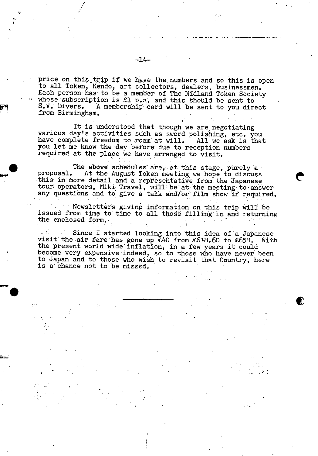price on this trip if we have the numbers and so this is open to all Token, Kendo, art collectors, dealers, businessmen. Each person has to be a member of The Midland Token Society whose: subscription is £1 p.a. and this should be sent to S.V. Divers. A membership card will be sent to you direct from Birmingham.

It is understood that though we are negotiating various day's activities such as sword polishing, etc. you have complete freedom to roam at will. All we ask is that you let me know the day before due to reception numbers required at the place we have arranged to visit.

The above schedules are, at this stage, purely a proposal. At the August Token meeting we hope to discuss this in more detail and a representative from the Japanese tour operators, Miki Travel, will be at the meeting to answer any questions and to give a talk and/or film show if required.

Newsletters giving information on this trip will be issued from time to time to all those filling in and returning the enclosed form.

Since I started looking into this idea of a Japanese  $\Delta \sim 10^{-10}$ visit the air fare has gone up  $E40$  from  $E618.60$  to  $E658$ . With the present world wide inflation, in a few years it could become very expensive indeed, so to those who have never been to Japan and to those who wish to revisit that Country, here is a chance not to be missed.

€

V

 $\bullet$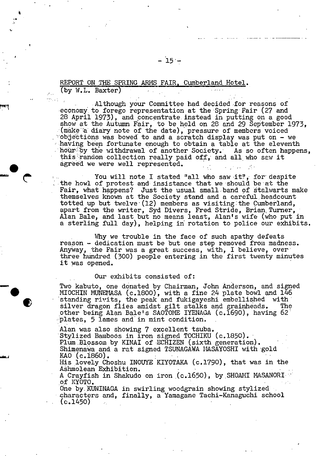## REPORT ON THE SPRING ARMS FAIR, Cumberland Hotel. (by W.L. Baxter)

'a

Although your Committee had decided for reasons of -economy. to forego representation at the Spring Fair (27 and 28 April 1973), and concentrate instead in putting on a good show at the Autumn Fair, to be held on 28 and 29 September 1973, . (make a diary note of the date), pressure of members voiced  $\degree$ objections was bowed to and a scratch display was put on - we having been fortunate enough to obtain a table at the eleventh hoür'hby the withdrawal of another Society. As so often happens, this random collection really paid off, and all who saw it agreed we were well represented.

You will note I stated "all who saw it", for despite the howl of protest and insistance that we should beat the Fair, what happens? Just the usual smaliband of stalwarts make themselves known at the Society stand and a careful. headcount totted up but twelve  $(12)$  members as visiting the Cumberland, apart from the writer, Syd Divers, Fred Stride, Brian Turner, Alan Bale, and last but no means least, Alan's wife (who put in a sterling full day), helping in rotation to police our exhibits.

Why we trouble in the face of such apathy defeats reason - dedication must be but one step removed from madness. Anyway, the Fair was a great success, with, I believe, over three hundred (300) people entering in the first twenty minutes it was opened.

#### Our exhibits consisted of:

Wo kabuto, one donated by Chairman, John Anderson, and signed<br>
• MIOCHIN MUNEMASA (c.1800), with a fine 24 plate bowl and 146<br>
• standing rivits, the peak and fukigayeshi embellished with<br>
• silver dragon flies amidst gilt silver dragon flies amidst gilt stalks and grainheads. The other being Alan Balets SAOTOME IYENAGA (c.1690), having 62' piates, 5 lames and' in mint condition.

> Alan was also showing 7 excellent tsuba. Sty1ized Bamboos in iron signed. TOCHIKU (c.1850). Plum Blossom by KINAI of ECHIZEN (sixth generation). Shimenawa and a rat signed TSUNAGAWA MASAYOSHI with gold KAO (c.1860). • His lovely Choshu INOUYE KIYQTAKA (c.1790), that was in the

> Ashmolean Exhibition.

A Crayfish in Shakudo on iron (c.1650), by SHOAMI MASANORI of KYOTO.

One by. KUNINAGA in swirling woodgrain showing stylized • characters and, finally, a Yamagane Tachi-Kanaguchi school  $(c.1450)$   $\qquad \qquad$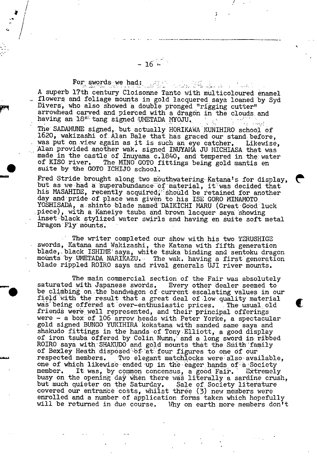For swords we had: The color of the second color A superb 17th century Cloisonne Tanto with multicoloured enamel flowers and foliage mounts in gold lacquered saya loaned by Syd Divers, who also showed a double pronged "rigging cutter" arrowhead carved and pierced with a dragon in the clouds and having an 18" tang signed UNETADA MYOJU.

The SADAMUNE signed, but actually HORIKAWA KUNIHIRO school of 1620, wakizashi of Alan Bale that has graced our stand before, was put on view again as it is such an eye catcher. Likewise, Alan provided another wak. signed INUYAMA JU MICHIASA that was made in the castle of Inuyama c.1840, and tempered in the water of KISO river. The MINO GOTO fittings being gold mantis en suite by the GOTO ICHIJO school.

Fred Stride brought along two mouthwatering Katana's for display, but as we had a superabundance of material, it was decided that his MASAHIDE, recently acquired, should be retained for another day and pride of place was given to his ISE GORO MINAMOTO YOSHISADA, a shinto blade named DAIKICHI MARU (Great Good luck piece), with a Kaneiye tsuba and brown lacquer saya showing inset 'black stylized water swirls and having en suite soft metal Dragon Fly mounts.

n  $\mathbf{C}$ 

 $\blacksquare$ 

The writer completed our show with his two TERUSHIGE swords, Katana and Wakizashi, the Katana with fifth generation blade, black ISHIME saya, white tsuka binding and sentoku dragon mounts by UMETADA NARIKAZU. The wak. having a first generation blade rippled ROIRO saya and rival generals UJI river mounts.

The main commercial section of the Fair was absolutely saturated with Japanese swords. Every other dealer seemed to be climbing on the bandwagon of current escalating values in our field with the result that a great deal of low quality material was being offered at over-enthusiastic prices. The usual old friends were well represented, and their principal offerings were - a box of 106 arrow heads with Peter Yorke, a spectacular gold signed BUNGO YUKIHIRA kOkatana with sanded same saya and shakudo fittings in the hands of Tony Elliott, a good display of iron tsuba offered by Colin Nunn, and a long sword in ribbed ROIRO saya with SHAKUDO and gold mounts that the Smith family of Bexley Heath disposed of at four figures to one of our respected members. Two elegant matchiocks were also' available, one of which likewise ended up in the eager hands of a Society member. It was, by common concensus, a good Fair. Extremely busy on the opening day when there was literally a sardine crush, but much quieter on the Saturday. Sale of Society literature covered our entrance costs, whilst three (3) new members were enrolled and a number of application forms taken which hopefully will be returned in due course. Why on earth more members don't

 $- 16 -$ 

 $\bullet$ 

F'